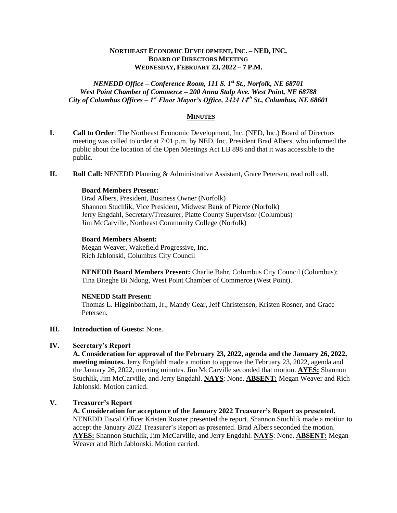# **NORTHEAST ECONOMIC DEVELOPMENT, INC. – NED, INC. BOARD OF DIRECTORS MEETING WEDNESDAY, FEBRUARY 23, 2022 – 7 P.M.**

# *NENEDD Office – Conference Room, 111 S. 1st St., Norfolk, NE 68701 West Point Chamber of Commerce – 200 Anna Stalp Ave. West Point, NE 68788 City of Columbus Offices – 1 st Floor Mayor's Office, 2424 14th St., Columbus, NE 68601*

# **MINUTES**

- **I. Call to Order**: The Northeast Economic Development, Inc. (NED, Inc.) Board of Directors meeting was called to order at 7:01 p.m. by NED, Inc. President Brad Albers. who informed the public about the location of the Open Meetings Act LB 898 and that it was accessible to the public.
- **II. Roll Call:** NENEDD Planning & Administrative Assistant, Grace Petersen, read roll call.

#### **Board Members Present:**

Brad Albers, President, Business Owner (Norfolk) Shannon Stuchlik, Vice President, Midwest Bank of Pierce (Norfolk) Jerry Engdahl, Secretary/Treasurer, Platte County Supervisor (Columbus) Jim McCarville, Northeast Community College (Norfolk)

### **Board Members Absent:**

Megan Weaver, Wakefield Progressive, Inc. Rich Jablonski, Columbus City Council

**NENEDD Board Members Present:** Charlie Bahr, Columbus City Council (Columbus); Tina Biteghe Bi Ndong, West Point Chamber of Commerce (West Point).

#### **NENEDD Staff Present:**

Thomas L. Higginbotham, Jr., Mandy Gear, Jeff Christensen, Kristen Rosner, and Grace Petersen.

### **III. Introduction of Guests:** None.

## **IV. Secretary's Report**

**A. Consideration for approval of the February 23, 2022, agenda and the January 26, 2022, meeting minutes.** Jerry Engdahl made a motion to approve the February 23, 2022, agenda and the January 26, 2022, meeting minutes. Jim McCarville seconded that motion. **AYES:** Shannon Stuchlik, Jim McCarville, and Jerry Engdahl. **NAYS**: None. **ABSENT:** Megan Weaver and Rich Jablonski. Motion carried.

# **V. Treasurer's Report**

**A. Consideration for acceptance of the January 2022 Treasurer's Report as presented.** NENEDD Fiscal Officer Kristen Rosner presented the report. Shannon Stuchlik made a motion to accept the January 2022 Treasurer's Report as presented. Brad Albers seconded the motion. **AYES:** Shannon Stuchlik, Jim McCarville, and Jerry Engdahl. **NAYS**: None. **ABSENT:** Megan Weaver and Rich Jablonski. Motion carried.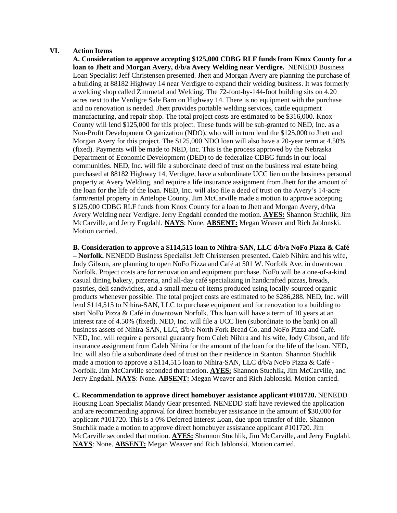### **VI. Action Items**

**A. Consideration to approve accepting \$125,000 CDBG RLF funds from Knox County for a loan to Jhett and Morgan Avery, d/b/a Avery Welding near Verdigre.** NENEDD Business Loan Specialist Jeff Christensen presented. Jhett and Morgan Avery are planning the purchase of a building at 88182 Highway 14 near Verdigre to expand their welding business. It was formerly a welding shop called Zimmetal and Welding. The 72-foot-by-144-foot building sits on 4.20 acres next to the Verdigre Sale Barn on Highway 14. There is no equipment with the purchase and no renovation is needed. Jhett provides portable welding services, cattle equipment manufacturing, and repair shop. The total project costs are estimated to be \$316,000. Knox County will lend \$125,000 for this project. These funds will be sub-granted to NED, Inc. as a Non-Proftt Development Organization (NDO), who will in turn lend the \$125,000 to Jhett and Morgan Avery for this project. The \$125,000 NDO loan will also have a 20-year term at 4.50% (fixed). Payments will be made to NED, Inc. This is the process approved by the Nebraska Department of Economic Development (DED) to de-federalize CDBG funds in our local communities. NED, Inc. will file a subordinate deed of trust on the business real estate being purchased at 88182 Highway 14, Verdigre, have a subordinate UCC lien on the business personal property at Avery Welding, and require a life insurance assignment from Jhett for the amount of the loan for the life of the loan. NED, Inc. will also file a deed of trust on the Avery's 14-acre farm/rental property in Antelope County. Jim McCarville made a motion to approve accepting \$125,000 CDBG RLF funds from Knox County for a loan to Jhett and Morgan Avery, d/b/a Avery Welding near Verdigre. Jerry Engdahl econded the motion. **AYES:** Shannon Stuchlik, Jim McCarville, and Jerry Engdahl. **NAYS**: None. **ABSENT:** Megan Weaver and Rich Jablonski. Motion carried.

**B. Consideration to approve a \$114,515 loan to Nihira-SAN, LLC d/b/a NoFo Pizza & Café – Norfolk.** NENEDD Business Specialist Jeff Christensen presented. Caleb Nihira and his wife, Jody Gibson, are planning to open NoFo Pizza and Café at 501 W. Norfolk Ave. in downtown Norfolk. Project costs are for renovation and equipment purchase. NoFo will be a one-of-a-kind casual dining bakery, pizzeria, and all-day café specializing in handcrafted pizzas, breads, pastries, deli sandwiches, and a small menu of items produced using locally-sourced organic products whenever possible. The total project costs are estimated to be \$286,288. NED, Inc. will lend \$114,515 to Nihira-SAN, LLC to purchase equipment and for renovation to a building to start NoFo Pizza & Café in downtown Norfolk. This loan will have a term of 10 years at an interest rate of 4.50% (fixed). NED, Inc. will file a UCC lien (subordinate to the bank) on all business assets of Nihira-SAN, LLC, d/b/a North Fork Bread Co. and NoFo Pizza and Café. NED, Inc. will require a personal guaranty from Caleb Nihira and his wife, Jody Gibson, and life insurance assignment from Caleb Nihira for the amount of the loan for the life of the loan. NED, Inc. will also file a subordinate deed of trust on their residence in Stanton. Shannon Stuchlik made a motion to approve a \$114,515 loan to Nihira-SAN, LLC d/b/a NoFo Pizza & Café - Norfolk. Jim McCarville seconded that motion. **AYES:** Shannon Stuchlik, Jim McCarville, and Jerry Engdahl. **NAYS**: None. **ABSENT:** Megan Weaver and Rich Jablonski. Motion carried.

**C. Recommendation to approve direct homebuyer assistance applicant #101720.** NENEDD Housing Loan Specialist Mandy Gear presented. NENEDD staff have reviewed the application and are recommending approval for direct homebuyer assistance in the amount of \$30,000 for applicant #101720. This is a 0% Deferred Interest Loan, due upon transfer of title. Shannon Stuchlik made a motion to approve direct homebuyer assistance applicant #101720. Jim McCarville seconded that motion. **AYES:** Shannon Stuchlik, Jim McCarville, and Jerry Engdahl. **NAYS**: None. **ABSENT:** Megan Weaver and Rich Jablonski. Motion carried.